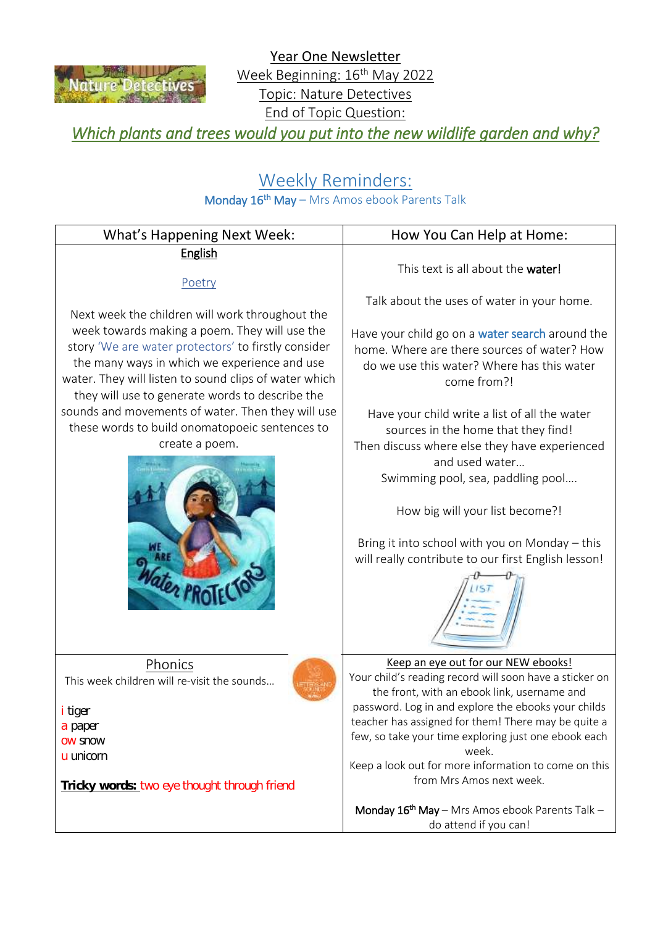

Year One Newsletter Week Beginning: 16<sup>th</sup> May 2022 Topic: Nature Detectives End of Topic Question:

*Which plants and trees would you put into the new wildlife garden and why?* 

## Weekly Reminders:

## Monday 16<sup>th</sup> May - Mrs Amos ebook Parents Talk

| <b>What's Happening Next Week:</b>                                                                                                                                                                                                                               | How You Can Help at Home:                                                                                                                                                                                                                                                                                                                                                                                        |
|------------------------------------------------------------------------------------------------------------------------------------------------------------------------------------------------------------------------------------------------------------------|------------------------------------------------------------------------------------------------------------------------------------------------------------------------------------------------------------------------------------------------------------------------------------------------------------------------------------------------------------------------------------------------------------------|
| <b>English</b><br>Poetry                                                                                                                                                                                                                                         | This text is all about the water!                                                                                                                                                                                                                                                                                                                                                                                |
| Next week the children will work throughout the                                                                                                                                                                                                                  | Talk about the uses of water in your home.                                                                                                                                                                                                                                                                                                                                                                       |
| week towards making a poem. They will use the<br>story 'We are water protectors' to firstly consider<br>the many ways in which we experience and use<br>water. They will listen to sound clips of water which<br>they will use to generate words to describe the | Have your child go on a water search around the<br>home. Where are there sources of water? How<br>do we use this water? Where has this water<br>come from?!                                                                                                                                                                                                                                                      |
| sounds and movements of water. Then they will use<br>these words to build onomatopoeic sentences to<br>create a poem.                                                                                                                                            | Have your child write a list of all the water<br>sources in the home that they find!<br>Then discuss where else they have experienced<br>and used water<br>Swimming pool, sea, paddling pool<br>How big will your list become?!<br>Bring it into school with you on Monday - this<br>will really contribute to our first English lesson!                                                                         |
| Phonics<br>This week children will re-visit the sounds<br><mark>i</mark> tiger<br>a paper<br>ow snow<br>u unicorn<br>Tricky words: two eye thought through friend                                                                                                | Keep an eye out for our NEW ebooks!<br>Your child's reading record will soon have a sticker on<br>the front, with an ebook link, username and<br>password. Log in and explore the ebooks your childs<br>teacher has assigned for them! There may be quite a<br>few, so take your time exploring just one ebook each<br>week.<br>Keep a look out for more information to come on this<br>from Mrs Amos next week. |
|                                                                                                                                                                                                                                                                  | Monday 16 <sup>th</sup> May - Mrs Amos ebook Parents Talk -<br>do attend if you can!                                                                                                                                                                                                                                                                                                                             |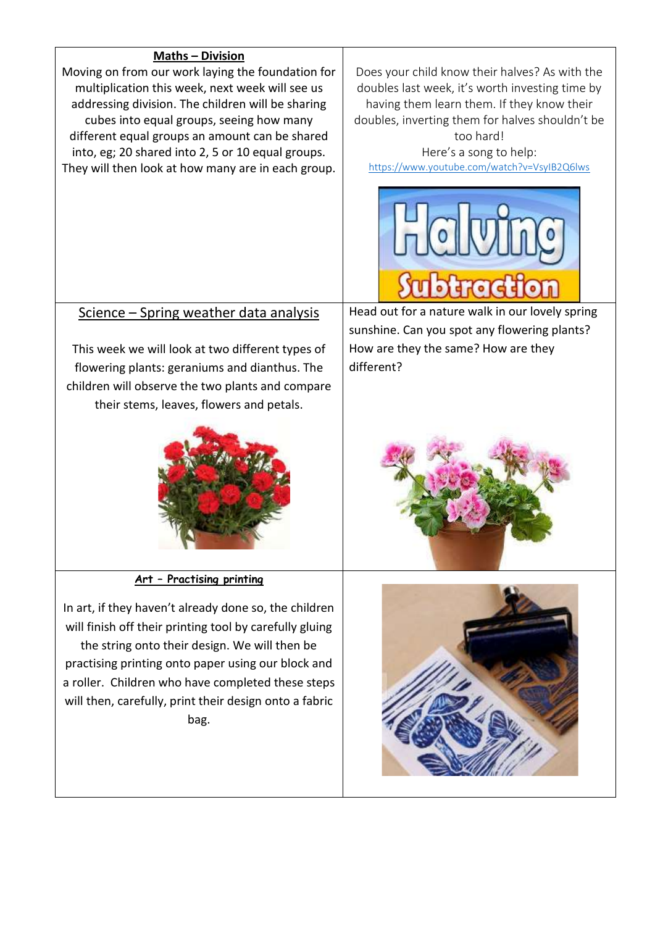## **Maths – Division**

Moving on from our work laying the foundation for multiplication this week, next week will see us addressing division. The children will be sharing cubes into equal groups, seeing how many different equal groups an amount can be shared into, eg; 20 shared into 2, 5 or 10 equal groups. They will then look at how many are in each group.

Does your child know their halves? As with the doubles last week, it's worth investing time by having them learn them. If they know their doubles, inverting them for halves shouldn't be too hard!

Here's a song to help: <https://www.youtube.com/watch?v=VsyIB2Q6lws>



## Science – Spring weather data analysis

This week we will look at two different types of flowering plants: geraniums and dianthus. The children will observe the two plants and compare their stems, leaves, flowers and petals.



**Art – Practising printing**

In art, if they haven't already done so, the children will finish off their printing tool by carefully gluing the string onto their design. We will then be practising printing onto paper using our block and a roller. Children who have completed these steps will then, carefully, print their design onto a fabric bag.

Head out for a nature walk in our lovely spring sunshine. Can you spot any flowering plants? How are they the same? How are they different?



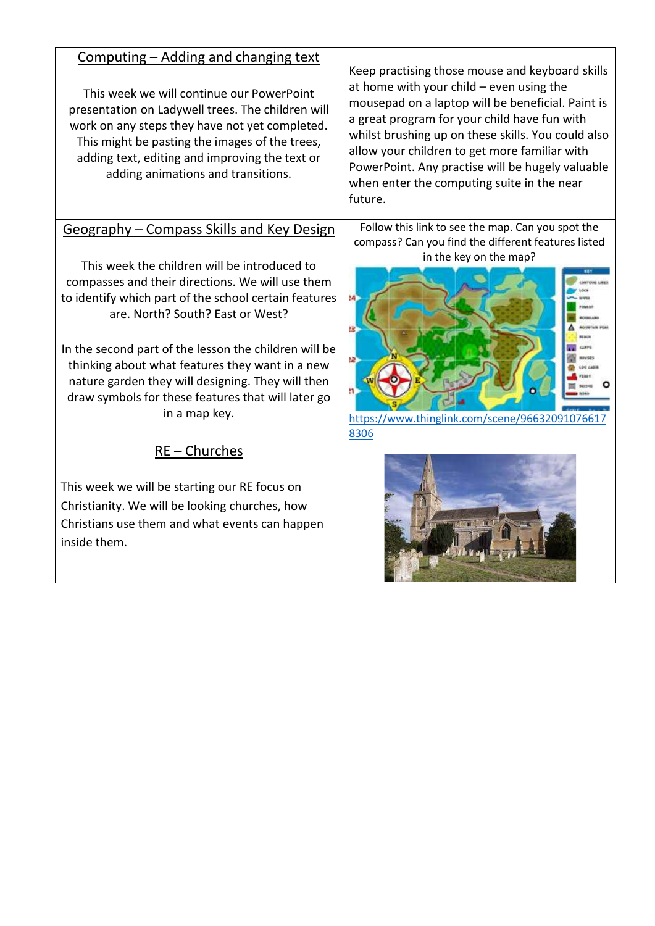| Computing - Adding and changing text<br>This week we will continue our PowerPoint<br>presentation on Ladywell trees. The children will<br>work on any steps they have not yet completed.<br>This might be pasting the images of the trees,<br>adding text, editing and improving the text or<br>adding animations and transitions.                                                                                                                                                 | Keep practising those mouse and keyboard skills<br>at home with your child $-$ even using the<br>mousepad on a laptop will be beneficial. Paint is<br>a great program for your child have fun with<br>whilst brushing up on these skills. You could also<br>allow your children to get more familiar with<br>PowerPoint. Any practise will be hugely valuable<br>when enter the computing suite in the near<br>future. |
|------------------------------------------------------------------------------------------------------------------------------------------------------------------------------------------------------------------------------------------------------------------------------------------------------------------------------------------------------------------------------------------------------------------------------------------------------------------------------------|------------------------------------------------------------------------------------------------------------------------------------------------------------------------------------------------------------------------------------------------------------------------------------------------------------------------------------------------------------------------------------------------------------------------|
| Geography - Compass Skills and Key Design<br>This week the children will be introduced to<br>compasses and their directions. We will use them<br>to identify which part of the school certain features<br>are. North? South? East or West?<br>In the second part of the lesson the children will be<br>thinking about what features they want in a new<br>nature garden they will designing. They will then<br>draw symbols for these features that will later go<br>in a map key. | Follow this link to see the map. Can you spot the<br>compass? Can you find the different features listed<br>in the key on the map?<br>łΒ<br><b>GLIPPS</b><br>æ.<br>n<br>https://www.thinglink.com/scene/96632091076617<br>8306                                                                                                                                                                                         |
| $RE$ – Churches<br>This week we will be starting our RE focus on<br>Christianity. We will be looking churches, how<br>Christians use them and what events can happen<br>inside them.                                                                                                                                                                                                                                                                                               |                                                                                                                                                                                                                                                                                                                                                                                                                        |